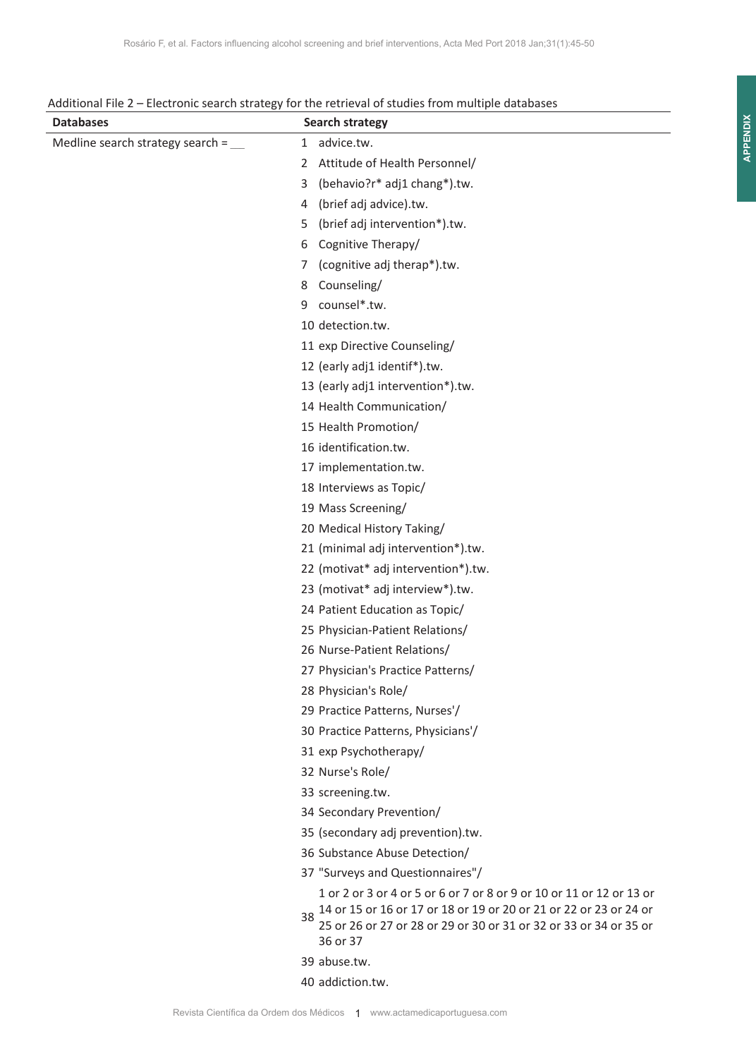| Additional File 2 – Electronic search strategy for the retrieval of studies from multiple databases |
|-----------------------------------------------------------------------------------------------------|
| $\sim$ $\sim$ $\sim$ $\sim$                                                                         |

| <b>Databases</b>                               | <b>Search strategy</b>                                                                                                                                                                                                           |
|------------------------------------------------|----------------------------------------------------------------------------------------------------------------------------------------------------------------------------------------------------------------------------------|
| Medline search strategy search = $\frac{ }{ }$ | 1 advice.tw.                                                                                                                                                                                                                     |
|                                                | Attitude of Health Personnel/<br>2                                                                                                                                                                                               |
|                                                | (behavio?r* adj1 chang*).tw.<br>3                                                                                                                                                                                                |
|                                                | (brief adj advice).tw.<br>4                                                                                                                                                                                                      |
|                                                | (brief adj intervention*).tw.<br>5                                                                                                                                                                                               |
|                                                | Cognitive Therapy/<br>6                                                                                                                                                                                                          |
|                                                | (cognitive adj therap*).tw.<br>7                                                                                                                                                                                                 |
|                                                | Counseling/<br>8                                                                                                                                                                                                                 |
|                                                | counsel*.tw.<br>9                                                                                                                                                                                                                |
|                                                | 10 detection.tw.                                                                                                                                                                                                                 |
|                                                | 11 exp Directive Counseling/                                                                                                                                                                                                     |
|                                                | 12 (early adj1 identif*).tw.                                                                                                                                                                                                     |
|                                                | 13 (early adj1 intervention*).tw.                                                                                                                                                                                                |
|                                                | 14 Health Communication/                                                                                                                                                                                                         |
|                                                | 15 Health Promotion/                                                                                                                                                                                                             |
|                                                | 16 identification.tw.                                                                                                                                                                                                            |
|                                                | 17 implementation.tw.                                                                                                                                                                                                            |
|                                                | 18 Interviews as Topic/                                                                                                                                                                                                          |
|                                                | 19 Mass Screening/                                                                                                                                                                                                               |
|                                                | 20 Medical History Taking/                                                                                                                                                                                                       |
|                                                | 21 (minimal adj intervention*).tw.                                                                                                                                                                                               |
|                                                | 22 (motivat* adj intervention*).tw.                                                                                                                                                                                              |
|                                                | 23 (motivat* adj interview*).tw.                                                                                                                                                                                                 |
|                                                | 24 Patient Education as Topic/                                                                                                                                                                                                   |
|                                                | 25 Physician-Patient Relations/                                                                                                                                                                                                  |
|                                                | 26 Nurse-Patient Relations/                                                                                                                                                                                                      |
|                                                | 27 Physician's Practice Patterns/                                                                                                                                                                                                |
|                                                | 28 Physician's Role/                                                                                                                                                                                                             |
|                                                | 29 Practice Patterns, Nurses'/                                                                                                                                                                                                   |
|                                                | 30 Practice Patterns, Physicians'/                                                                                                                                                                                               |
|                                                | 31 exp Psychotherapy/                                                                                                                                                                                                            |
|                                                | 32 Nurse's Role/                                                                                                                                                                                                                 |
|                                                | 33 screening.tw.                                                                                                                                                                                                                 |
|                                                | 34 Secondary Prevention/                                                                                                                                                                                                         |
|                                                | 35 (secondary adj prevention).tw.                                                                                                                                                                                                |
|                                                | 36 Substance Abuse Detection/                                                                                                                                                                                                    |
|                                                | 37 "Surveys and Questionnaires"/                                                                                                                                                                                                 |
|                                                | 1 or 2 or 3 or 4 or 5 or 6 or 7 or 8 or 9 or 10 or 11 or 12 or 13 or<br>14 or 15 or 16 or 17 or 18 or 19 or 20 or 21 or 22 or 23 or 24 or<br>38<br>25 or 26 or 27 or 28 or 29 or 30 or 31 or 32 or 33 or 34 or 35 or<br>36 or 37 |
|                                                | 39 abuse.tw.                                                                                                                                                                                                                     |
|                                                | 40 addiction.tw.                                                                                                                                                                                                                 |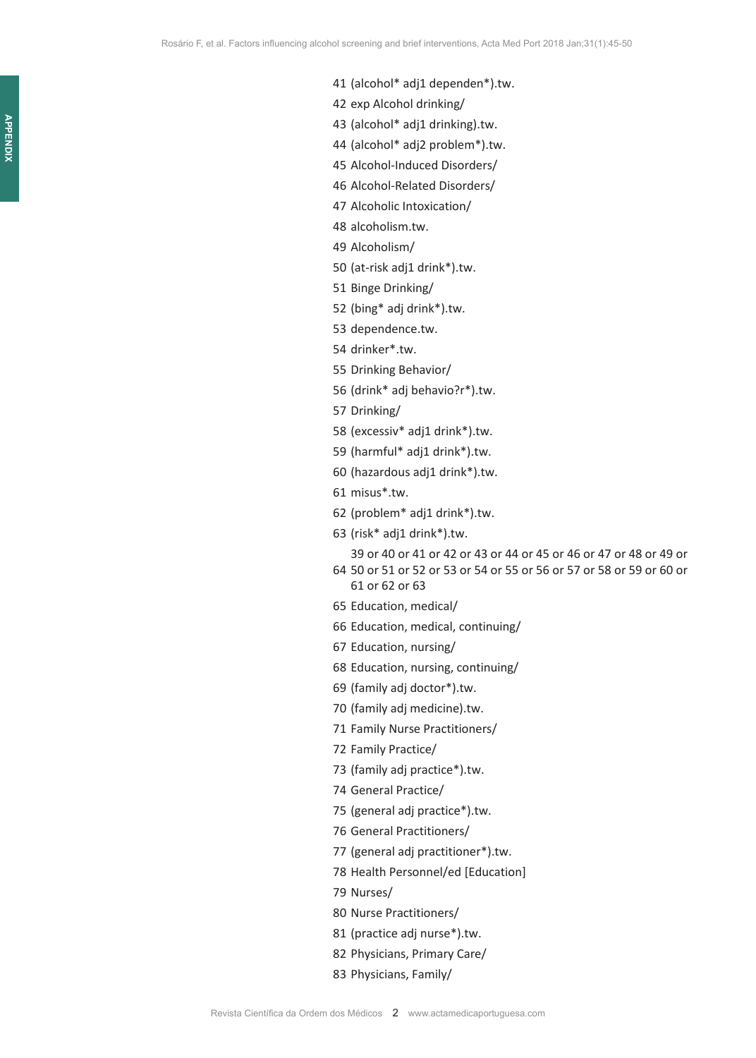- exp Alcohol drinking/
- (alcohol\* adj1 drinking).tw.
- (alcohol\* adj2 problem\*).tw.
- Alcohol-Induced Disorders/
- Alcohol-Related Disorders/
- Alcoholic Intoxication/
- alcoholism.tw.
- Alcoholism/
- (at-risk adj1 drink\*).tw.
- Binge Drinking/
- (bing\* adj drink\*).tw.
- dependence.tw.
- drinker\*.tw.
- Drinking Behavior/
- (drink\* adj behavio?r\*).tw.
- Drinking/
- (excessiv\* adj1 drink\*).tw.
- (harmful\* adj1 drink\*).tw.
- (hazardous adj1 drink\*).tw.
- misus\*.tw.
- (problem\* adj1 drink\*).tw.
- (risk\* adj1 drink\*).tw.

 50 or 51 or 52 or 53 or 54 or 55 or 56 or 57 or 58 or 59 or 60 or 39 or 40 or 41 or 42 or 43 or 44 or 45 or 46 or 47 or 48 or 49 or

- 61 or 62 or 63
- Education, medical/
- Education, medical, continuing/
- Education, nursing/
- Education, nursing, continuing/
- (family adj doctor\*).tw.
- (family adj medicine).tw.
- Family Nurse Practitioners/
- Family Practice/
- (family adj practice\*).tw.
- General Practice/
- (general adj practice\*).tw.
- General Practitioners/
- (general adj practitioner\*).tw.
- Health Personnel/ed [Education]
- Nurses/
- Nurse Practitioners/
- (practice adj nurse\*).tw.
- Physicians, Primary Care/
- Physicians, Family/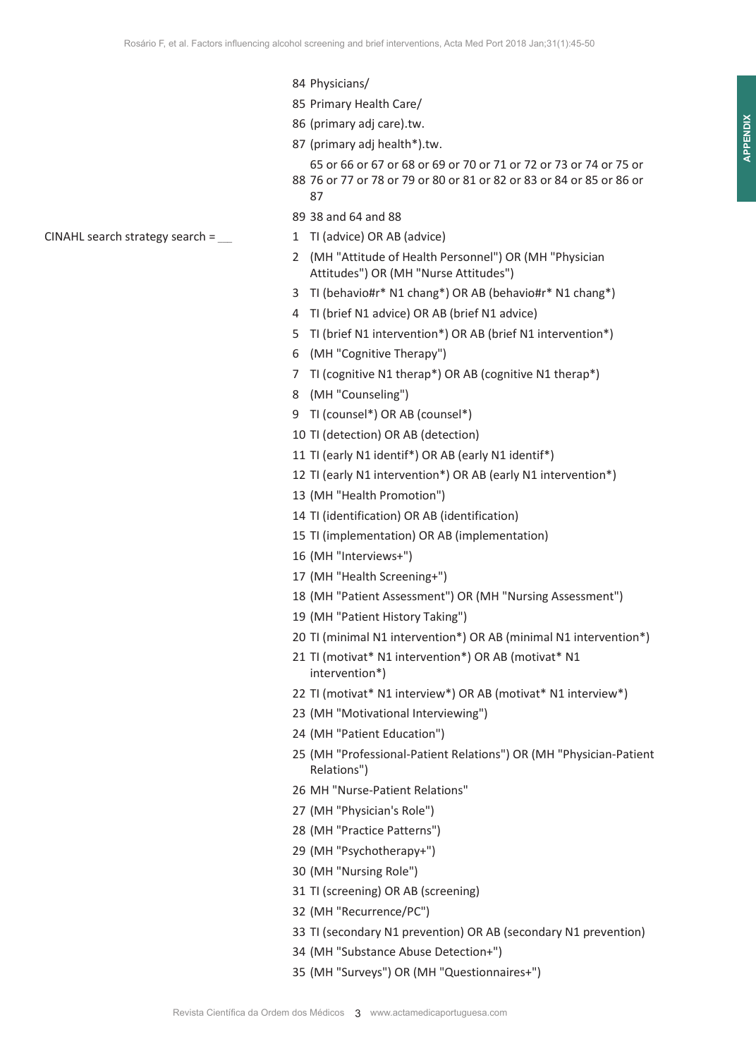- 84 Physicians/
- 85 Primary Health Care/
- 86 (primary adj care).tw.
- 87 (primary adj health\*).tw.
- 88 76 or 77 or 78 or 79 or 80 or 81 or 82 or 83 or 84 or 85 or 86 or 65 or 66 or 67 or 68 or 69 or 70 or 71 or 72 or 73 or 74 or 75 or 87
- 89 38 and 64 and 88
- 
- 2 (MH "Attitude of Health Personnel") OR (MH "Physician Attitudes") OR (MH "Nurse Attitudes")
- 3 TI (behavio#r\* N1 chang\*) OR AB (behavio#r\* N1 chang\*)
- 4 TI (brief N1 advice) OR AB (brief N1 advice)
- 5 TI (brief N1 intervention\*) OR AB (brief N1 intervention\*)
- 6 (MH "Cognitive Therapy")
- 7 TI (cognitive N1 therap\*) OR AB (cognitive N1 therap\*)
- 8 (MH "Counseling")
- 9 TI (counsel\*) OR AB (counsel\*)
- 10 TI (detection) OR AB (detection)
- 11 TI (early N1 identif\*) OR AB (early N1 identif\*)
- 12 TI (early N1 intervention\*) OR AB (early N1 intervention\*)
- 13 (MH "Health Promotion")
- 14 TI (identification) OR AB (identification)
- 15 TI (implementation) OR AB (implementation)
- 16 (MH "Interviews+")
- 17 (MH "Health Screening+")
- 18 (MH "Patient Assessment") OR (MH "Nursing Assessment")
- 19 (MH "Patient History Taking")
- 20 TI (minimal N1 intervention\*) OR AB (minimal N1 intervention\*)
- 21 TI (motivat\* N1 intervention\*) OR AB (motivat\* N1 intervention\*)
- 22 TI (motivat\* N1 interview\*) OR AB (motivat\* N1 interview\*)
- 23 (MH "Motivational Interviewing")
- 24 (MH "Patient Education")
- 25 (MH "Professional-Patient Relations") OR (MH "Physician-Patient Relations")
- 26 MH "Nurse-Patient Relations"
- 27 (MH "Physician's Role")
- 28 (MH "Practice Patterns")
- 29 (MH "Psychotherapy+")
- 30 (MH "Nursing Role")
- 31 TI (screening) OR AB (screening)
- 32 (MH "Recurrence/PC")
- 33 TI (secondary N1 prevention) OR AB (secondary N1 prevention)
- 34 (MH "Substance Abuse Detection+")
- 35 (MH "Surveys") OR (MH "Questionnaires+")

CINAHL search strategy search = \_\_\_ 1 TI (advice) OR AB (advice)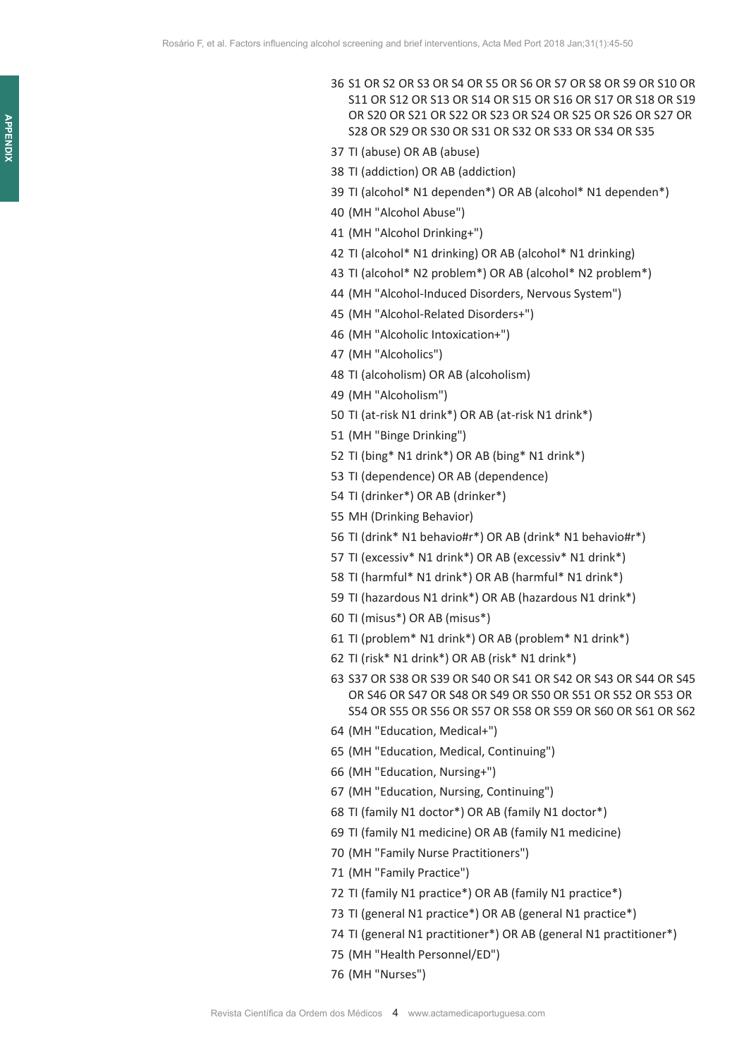- 36 S1 OR S2 OR S3 OR S4 OR S5 OR S6 OR S7 OR S8 OR S9 OR S10 OR S11 OR S12 OR S13 OR S14 OR S15 OR S16 OR S17 OR S18 OR S19 OR S20 OR S21 OR S22 OR S23 OR S24 OR S25 OR S26 OR S27 OR S28 OR S29 OR S30 OR S31 OR S32 OR S33 OR S34 OR S35
- 37 TI (abuse) OR AB (abuse)
- 38 TI (addiction) OR AB (addiction)
- 39 TI (alcohol\* N1 dependen\*) OR AB (alcohol\* N1 dependen\*)
- 40 (MH "Alcohol Abuse")
- 41 (MH "Alcohol Drinking+")
- 42 TI (alcohol\* N1 drinking) OR AB (alcohol\* N1 drinking)
- 43 TI (alcohol\* N2 problem\*) OR AB (alcohol\* N2 problem\*)
- 44 (MH "Alcohol-Induced Disorders, Nervous System")
- 45 (MH "Alcohol-Related Disorders+")
- 46 (MH "Alcoholic Intoxication+")
- 47 (MH "Alcoholics")
- 48 TI (alcoholism) OR AB (alcoholism)
- 49 (MH "Alcoholism")
- 50 TI (at-risk N1 drink\*) OR AB (at-risk N1 drink\*)
- 51 (MH "Binge Drinking")
- 52 TI (bing\* N1 drink\*) OR AB (bing\* N1 drink\*)
- 53 TI (dependence) OR AB (dependence)
- 54 TI (drinker\*) OR AB (drinker\*)
- 55 MH (Drinking Behavior)
- 56 TI (drink\* N1 behavio#r\*) OR AB (drink\* N1 behavio#r\*)
- 57 TI (excessiv\* N1 drink\*) OR AB (excessiv\* N1 drink\*)
- 58 TI (harmful\* N1 drink\*) OR AB (harmful\* N1 drink\*)
- 59 TI (hazardous N1 drink\*) OR AB (hazardous N1 drink\*)
- 60 TI (misus\*) OR AB (misus\*)
- 61 TI (problem\* N1 drink\*) OR AB (problem\* N1 drink\*)
- 62 TI (risk\* N1 drink\*) OR AB (risk\* N1 drink\*)
- 63 S37 OR S38 OR S39 OR S40 OR S41 OR S42 OR S43 OR S44 OR S45 OR S46 OR S47 OR S48 OR S49 OR S50 OR S51 OR S52 OR S53 OR S54 OR S55 OR S56 OR S57 OR S58 OR S59 OR S60 OR S61 OR S62
- 64 (MH "Education, Medical+")
- 65 (MH "Education, Medical, Continuing")
- 66 (MH "Education, Nursing+")
- 67 (MH "Education, Nursing, Continuing")
- 68 TI (family N1 doctor\*) OR AB (family N1 doctor\*)
- 69 TI (family N1 medicine) OR AB (family N1 medicine)
- 70 (MH "Family Nurse Practitioners")
- 71 (MH "Family Practice")
- 72 TI (family N1 practice\*) OR AB (family N1 practice\*)
- 73 TI (general N1 practice\*) OR AB (general N1 practice\*)
- 74 TI (general N1 practitioner\*) OR AB (general N1 practitioner\*)
- 75 (MH "Health Personnel/ED")
- 76 (MH "Nurses")

**APPENDIX**

**APPENDIX**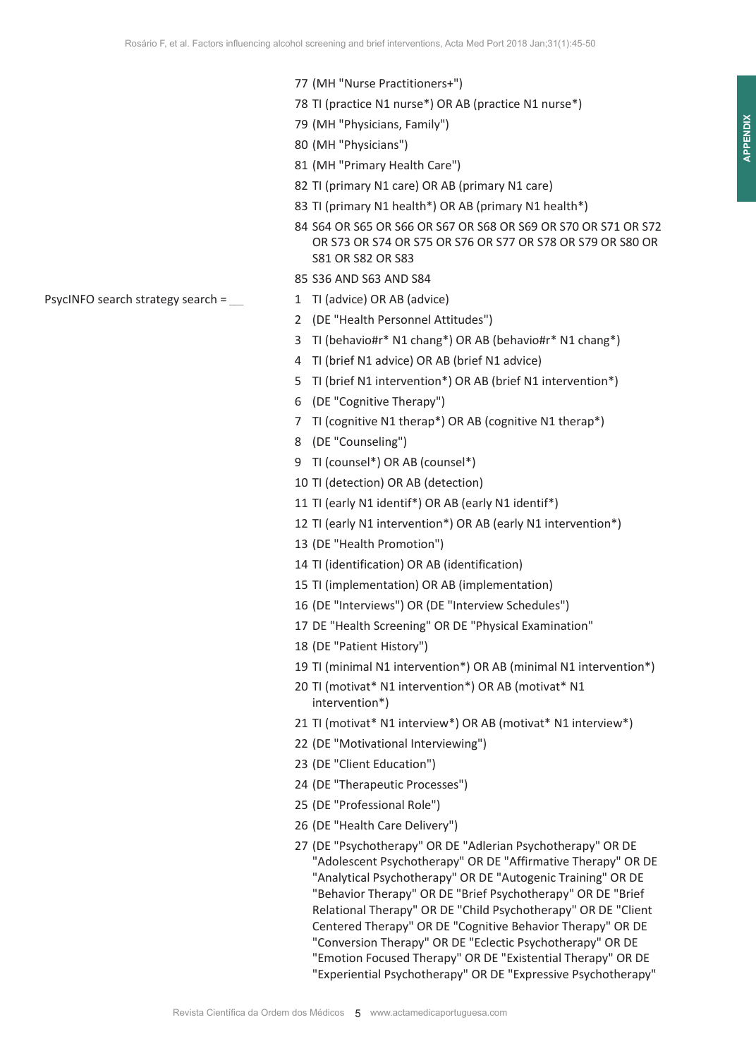- 77 (MH "Nurse Practitioners+")
- 78 TI (practice N1 nurse\*) OR AB (practice N1 nurse\*)
- 79 (MH "Physicians, Family")
- 80 (MH "Physicians")
- 81 (MH "Primary Health Care")
- 82 TI (primary N1 care) OR AB (primary N1 care)
- 83 TI (primary N1 health\*) OR AB (primary N1 health\*)
- 84 S64 OR S65 OR S66 OR S67 OR S68 OR S69 OR S70 OR S71 OR S72 OR S73 OR S74 OR S75 OR S76 OR S77 OR S78 OR S79 OR S80 OR S81 OR S82 OR S83
- 85 S36 AND S63 AND S84
- 
- 2 (DE "Health Personnel Attitudes")
- 3 TI (behavio#r\* N1 chang\*) OR AB (behavio#r\* N1 chang\*)
- 4 TI (brief N1 advice) OR AB (brief N1 advice)
- 5 TI (brief N1 intervention\*) OR AB (brief N1 intervention\*)
- 6 (DE "Cognitive Therapy")
- 7 TI (cognitive N1 therap\*) OR AB (cognitive N1 therap\*)
- 8 (DE "Counseling")
- 9 TI (counsel\*) OR AB (counsel\*)
- 10 TI (detection) OR AB (detection)
- 11 TI (early N1 identif\*) OR AB (early N1 identif\*)
- 12 TI (early N1 intervention\*) OR AB (early N1 intervention\*)
- 13 (DE "Health Promotion")
- 14 TI (identification) OR AB (identification)
- 15 TI (implementation) OR AB (implementation)
- 16 (DE "Interviews") OR (DE "Interview Schedules")
- 17 DE "Health Screening" OR DE "Physical Examination"
- 18 (DE "Patient History")
- 19 TI (minimal N1 intervention\*) OR AB (minimal N1 intervention\*)
- 20 TI (motivat\* N1 intervention\*) OR AB (motivat\* N1 intervention\*)
- 21 TI (motivat\* N1 interview\*) OR AB (motivat\* N1 interview\*)
- 22 (DE "Motivational Interviewing")
- 23 (DE "Client Education")
- 24 (DE "Therapeutic Processes")
- 25 (DE "Professional Role")
- 26 (DE "Health Care Delivery")
- 27 (DE "Psychotherapy" OR DE "Adlerian Psychotherapy" OR DE "Adolescent Psychotherapy" OR DE "Affirmative Therapy" OR DE "Analytical Psychotherapy" OR DE "Autogenic Training" OR DE "Behavior Therapy" OR DE "Brief Psychotherapy" OR DE "Brief Relational Therapy" OR DE "Child Psychotherapy" OR DE "Client Centered Therapy" OR DE "Cognitive Behavior Therapy" OR DE "Conversion Therapy" OR DE "Eclectic Psychotherapy" OR DE "Emotion Focused Therapy" OR DE "Existential Therapy" OR DE "Experiential Psychotherapy" OR DE "Expressive Psychotherapy"

PsycINFO search strategy search =  $\qquad 1$  TI (advice) OR AB (advice)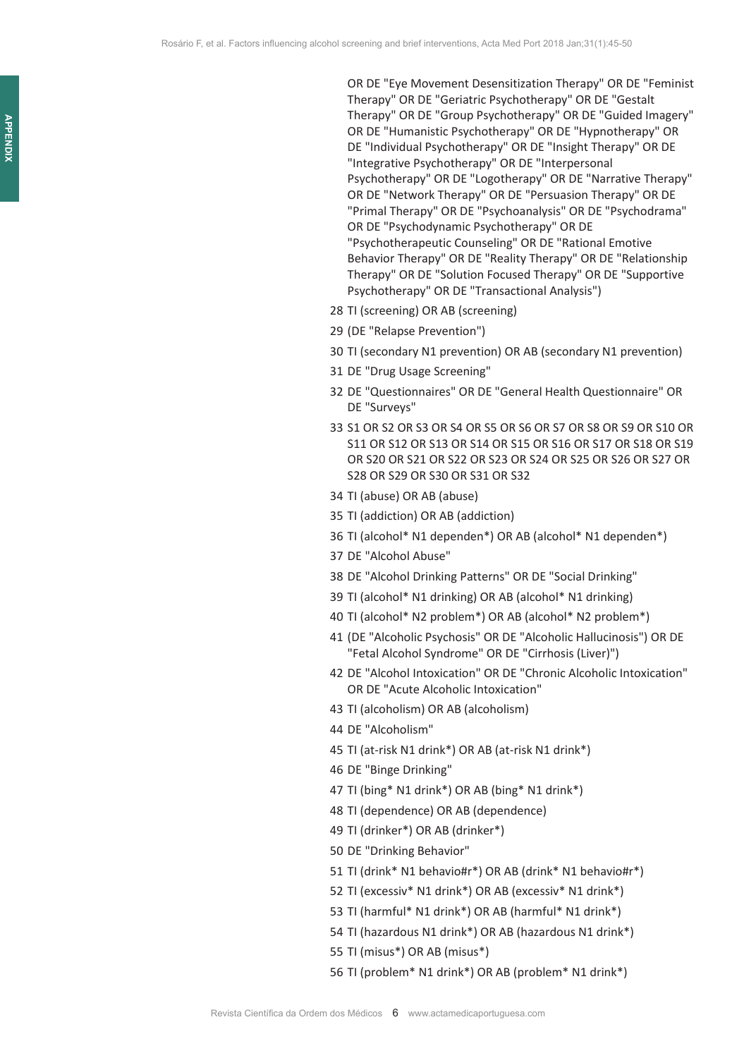OR DE "Eye Movement Desensitization Therapy" OR DE "Feminist Therapy" OR DE "Geriatric Psychotherapy" OR DE "Gestalt Therapy" OR DE "Group Psychotherapy" OR DE "Guided Imagery" OR DE "Humanistic Psychotherapy" OR DE "Hypnotherapy" OR DE "Individual Psychotherapy" OR DE "Insight Therapy" OR DE "Integrative Psychotherapy" OR DE "Interpersonal Psychotherapy" OR DE "Logotherapy" OR DE "Narrative Therapy" OR DE "Network Therapy" OR DE "Persuasion Therapy" OR DE "Primal Therapy" OR DE "Psychoanalysis" OR DE "Psychodrama" OR DE "Psychodynamic Psychotherapy" OR DE "Psychotherapeutic Counseling" OR DE "Rational Emotive Behavior Therapy" OR DE "Reality Therapy" OR DE "Relationship Therapy" OR DE "Solution Focused Therapy" OR DE "Supportive Psychotherapy" OR DE "Transactional Analysis")

- 28 TI (screening) OR AB (screening)
- 29 (DE "Relapse Prevention")
- 30 TI (secondary N1 prevention) OR AB (secondary N1 prevention)
- 31 DE "Drug Usage Screening"
- 32 DE "Questionnaires" OR DE "General Health Questionnaire" OR DE "Surveys"
- 33 S1 OR S2 OR S3 OR S4 OR S5 OR S6 OR S7 OR S8 OR S9 OR S10 OR S11 OR S12 OR S13 OR S14 OR S15 OR S16 OR S17 OR S18 OR S19 OR S20 OR S21 OR S22 OR S23 OR S24 OR S25 OR S26 OR S27 OR S28 OR S29 OR S30 OR S31 OR S32
- 34 TI (abuse) OR AB (abuse)
- 35 TI (addiction) OR AB (addiction)
- 36 TI (alcohol\* N1 dependen\*) OR AB (alcohol\* N1 dependen\*)
- 37 DE "Alcohol Abuse"
- 38 DE "Alcohol Drinking Patterns" OR DE "Social Drinking"
- 39 TI (alcohol\* N1 drinking) OR AB (alcohol\* N1 drinking)
- 40 TI (alcohol\* N2 problem\*) OR AB (alcohol\* N2 problem\*)
- 41 (DE "Alcoholic Psychosis" OR DE "Alcoholic Hallucinosis") OR DE "Fetal Alcohol Syndrome" OR DE "Cirrhosis (Liver)")
- 42 DE "Alcohol Intoxication" OR DE "Chronic Alcoholic Intoxication" OR DE "Acute Alcoholic Intoxication"
- 43 TI (alcoholism) OR AB (alcoholism)
- 44 DE "Alcoholism"
- 45 TI (at-risk N1 drink\*) OR AB (at-risk N1 drink\*)
- 46 DE "Binge Drinking"
- 47 TI (bing\* N1 drink\*) OR AB (bing\* N1 drink\*)
- 48 TI (dependence) OR AB (dependence)
- 49 TI (drinker\*) OR AB (drinker\*)
- 50 DE "Drinking Behavior"
- 51 TI (drink\* N1 behavio#r\*) OR AB (drink\* N1 behavio#r\*)
- 52 TI (excessiv\* N1 drink\*) OR AB (excessiv\* N1 drink\*)
- 53 TI (harmful\* N1 drink\*) OR AB (harmful\* N1 drink\*)
- 54 TI (hazardous N1 drink\*) OR AB (hazardous N1 drink\*)
- 55 TI (misus\*) OR AB (misus\*)
- 56 TI (problem\* N1 drink\*) OR AB (problem\* N1 drink\*)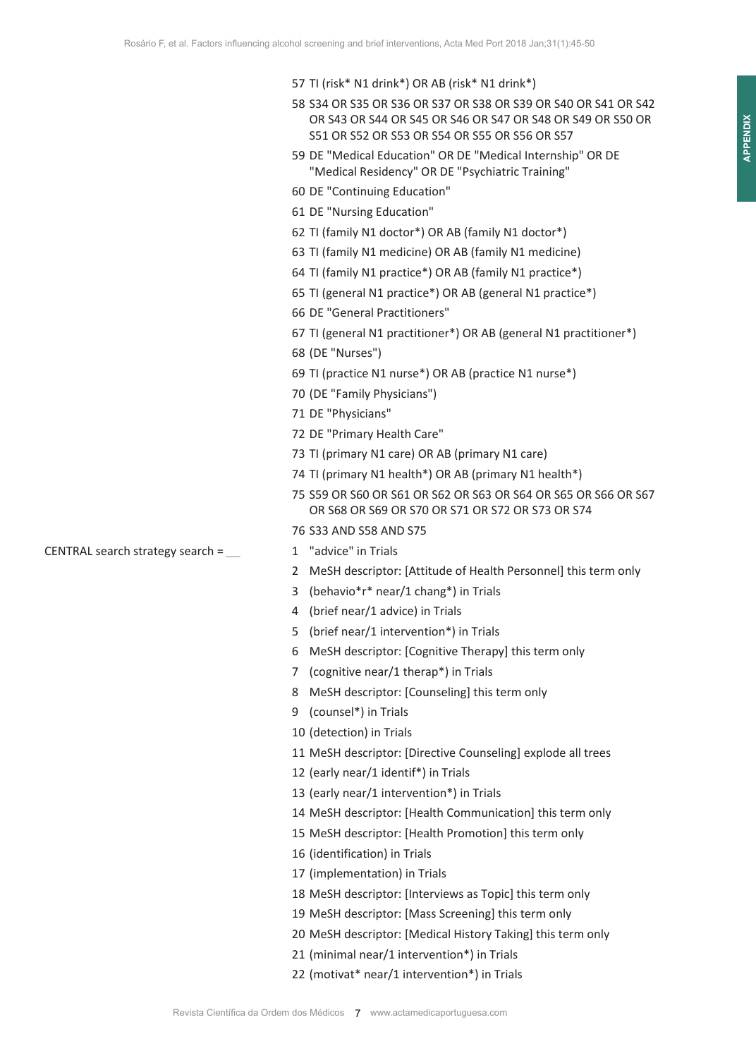- 58 S34 OR S35 OR S36 OR S37 OR S38 OR S39 OR S40 OR S41 OR S42 OR S43 OR S44 OR S45 OR S46 OR S47 OR S48 OR S49 OR S50 OR S51 OR S52 OR S53 OR S54 OR S55 OR S56 OR S57
- 59 DE "Medical Education" OR DE "Medical Internship" OR DE "Medical Residency" OR DE "Psychiatric Training"
- 60 DE "Continuing Education"
- 61 DE "Nursing Education"
- 62 TI (family N1 doctor\*) OR AB (family N1 doctor\*)
- 63 TI (family N1 medicine) OR AB (family N1 medicine)
- 64 TI (family N1 practice\*) OR AB (family N1 practice\*)
- 65 TI (general N1 practice\*) OR AB (general N1 practice\*)
- 66 DE "General Practitioners"
- 67 TI (general N1 practitioner\*) OR AB (general N1 practitioner\*)
- 68 (DE "Nurses")
- 69 TI (practice N1 nurse\*) OR AB (practice N1 nurse\*)
- 70 (DE "Family Physicians")
- 71 DE "Physicians"
- 72 DE "Primary Health Care"
- 73 TI (primary N1 care) OR AB (primary N1 care)
- 74 TI (primary N1 health\*) OR AB (primary N1 health\*)
- 75 S59 OR S60 OR S61 OR S62 OR S63 OR S64 OR S65 OR S66 OR S67 OR S68 OR S69 OR S70 OR S71 OR S72 OR S73 OR S74
- 76 S33 AND S58 AND S75
- 
- 2 MeSH descriptor: [Attitude of Health Personnel] this term only
- 3 (behavio\*r\* near/1 chang\*) in Trials
- 4 (brief near/1 advice) in Trials
- 5 (brief near/1 intervention\*) in Trials
- 6 MeSH descriptor: [Cognitive Therapy] this term only
- 7 (cognitive near/1 therap\*) in Trials
- 8 MeSH descriptor: [Counseling] this term only
- 9 (counsel\*) in Trials
- 10 (detection) in Trials
- 11 MeSH descriptor: [Directive Counseling] explode all trees
- 12 (early near/1 identif\*) in Trials
- 13 (early near/1 intervention\*) in Trials
- 14 MeSH descriptor: [Health Communication] this term only
- 15 MeSH descriptor: [Health Promotion] this term only
- 16 (identification) in Trials
- 17 (implementation) in Trials
- 18 MeSH descriptor: [Interviews as Topic] this term only
- 19 MeSH descriptor: [Mass Screening] this term only
- 20 MeSH descriptor: [Medical History Taking] this term only
- 21 (minimal near/1 intervention\*) in Trials
- 22 (motivat\* near/1 intervention\*) in Trials

CENTRAL search strategy search =  $\angle$  1 "advice" in Trials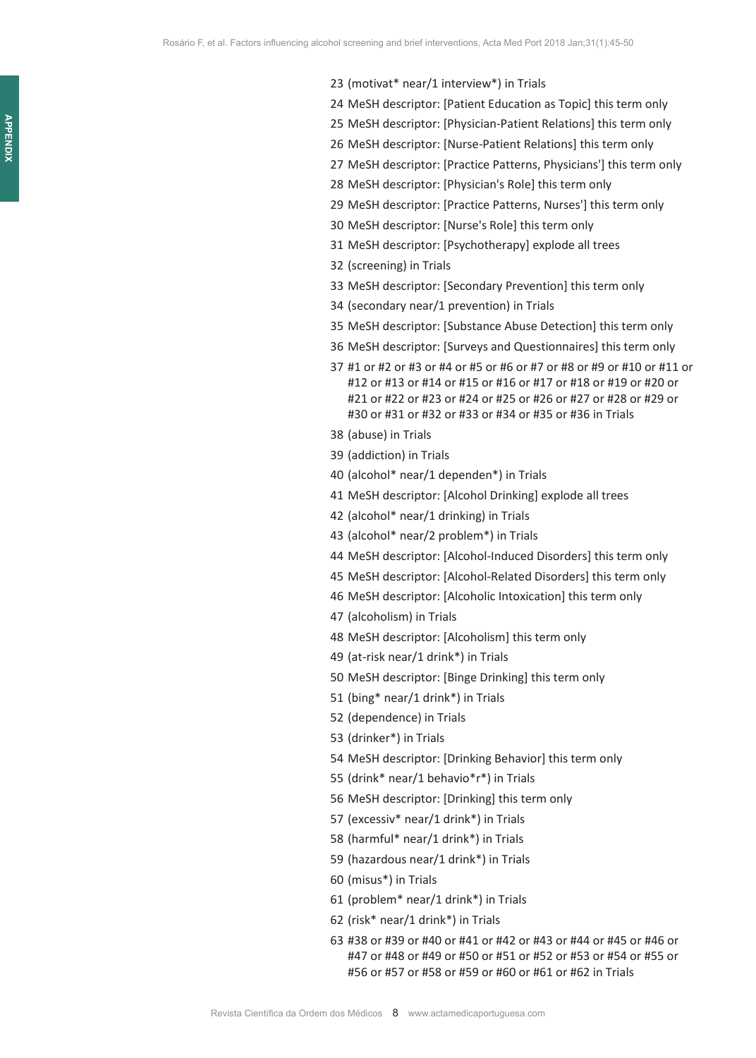- (motivat\* near/1 interview\*) in Trials
- MeSH descriptor: [Patient Education as Topic] this term only
- MeSH descriptor: [Physician-Patient Relations] this term only
- MeSH descriptor: [Nurse-Patient Relations] this term only
- MeSH descriptor: [Practice Patterns, Physicians'] this term only
- MeSH descriptor: [Physician's Role] this term only
- MeSH descriptor: [Practice Patterns, Nurses'] this term only
- MeSH descriptor: [Nurse's Role] this term only
- MeSH descriptor: [Psychotherapy] explode all trees
- (screening) in Trials
- MeSH descriptor: [Secondary Prevention] this term only
- (secondary near/1 prevention) in Trials
- MeSH descriptor: [Substance Abuse Detection] this term only
- MeSH descriptor: [Surveys and Questionnaires] this term only
- #1 or #2 or #3 or #4 or #5 or #6 or #7 or #8 or #9 or #10 or #11 or #12 or #13 or #14 or #15 or #16 or #17 or #18 or #19 or #20 or #21 or #22 or #23 or #24 or #25 or #26 or #27 or #28 or #29 or #30 or #31 or #32 or #33 or #34 or #35 or #36 in Trials
- (abuse) in Trials
- (addiction) in Trials
- (alcohol\* near/1 dependen\*) in Trials
- MeSH descriptor: [Alcohol Drinking] explode all trees
- (alcohol\* near/1 drinking) in Trials
- (alcohol\* near/2 problem\*) in Trials
- MeSH descriptor: [Alcohol-Induced Disorders] this term only
- MeSH descriptor: [Alcohol-Related Disorders] this term only
- MeSH descriptor: [Alcoholic Intoxication] this term only
- (alcoholism) in Trials
- MeSH descriptor: [Alcoholism] this term only
- (at-risk near/1 drink\*) in Trials
- MeSH descriptor: [Binge Drinking] this term only
- (bing\* near/1 drink\*) in Trials
- (dependence) in Trials
- (drinker\*) in Trials
- MeSH descriptor: [Drinking Behavior] this term only
- (drink\* near/1 behavio\*r\*) in Trials
- MeSH descriptor: [Drinking] this term only
- (excessiv\* near/1 drink\*) in Trials
- (harmful\* near/1 drink\*) in Trials
- (hazardous near/1 drink\*) in Trials
- (misus\*) in Trials
- (problem\* near/1 drink\*) in Trials
- (risk\* near/1 drink\*) in Trials
- #38 or #39 or #40 or #41 or #42 or #43 or #44 or #45 or #46 or #47 or #48 or #49 or #50 or #51 or #52 or #53 or #54 or #55 or #56 or #57 or #58 or #59 or #60 or #61 or #62 in Trials